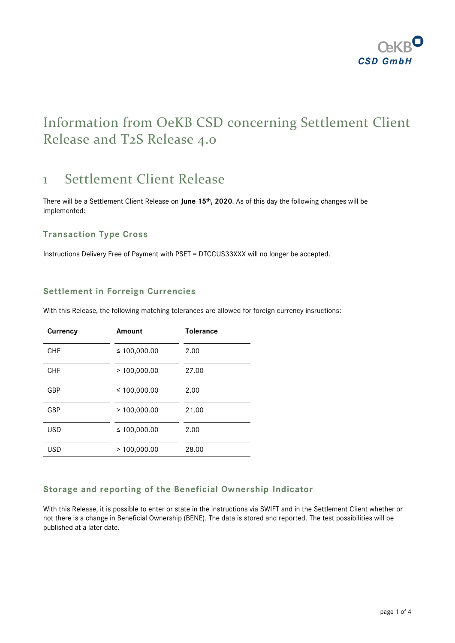

# Information from OeKB CSD concerning Settlement Client Release and T2S Release 4.0

# 1 Settlement Client Release

There will be a Settlement Client Release on **June 15th, 2020**. As of this day the following changes will be implemented:

# **Transaction Type Cross**

Instructions Delivery Free of Payment with PSET = DTCCUS33XXX will no longer be accepted.

### **Settlement in Forreign Currencies**

With this Release, the following matching tolerances are allowed for foreign currency insructions:

| <b>Currency</b> | Amount       | <b>Tolerance</b> |
|-----------------|--------------|------------------|
| <b>CHF</b>      | ≤ 100,000.00 | 2.00             |
| <b>CHF</b>      | >100,000.00  | 27.00            |
| GBP             | ≤ 100,000.00 | 2.00             |
| GBP             | >100,000.00  | 21.00            |
| USD             | ≤ 100,000.00 | 2.00             |
| USD             | >100,000.00  | 28.00            |

# **Storage and reporting of the Beneficial Ownership Indicator**

With this Release, it is possible to enter or state in the instructions via SWIFT and in the Settlement Client whether or not there is a change in Beneficial Ownership (BENE). The data is stored and reported. The test possibilities will be published at a later date.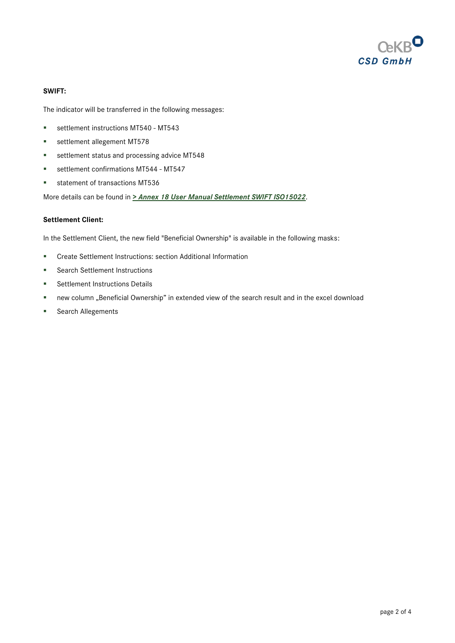

### **SWIFT:**

The indicator will be transferred in the following messages:

- **settlement instructions MT540 MT543**
- **settlement allegement MT578**
- settlement status and processing advice MT548
- settlement confirmations MT544 MT547
- **statement of transactions MT536**

More details can be found in *[> Annex 18 User Manual Settlement](https://www.oekb-csd.at/en/dam/jcr:1f87b5a6-2399-464a-a2f1-471745dc9762/Annex-18-User-Manual-Settlement-SWIFT-ISO-15022.pdf) SWIFT ISO15022*.

#### **Settlement Client:**

In the Settlement Client, the new field "Beneficial Ownership" is available in the following masks:

- Create Settlement Instructions: section Additional Information
- **Search Settlement Instructions**
- **Settlement Instructions Details**
- new column "Beneficial Ownership" in extended view of the search result and in the excel download
- **Search Allegements**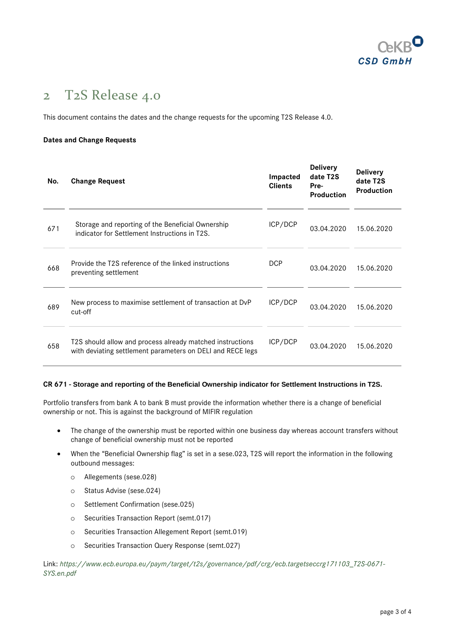

# 2 T2S Release 4.0

This document contains the dates and the change requests for the upcoming T2S Release 4.0.

### **Dates and Change Requests**

| No. | <b>Change Request</b>                                                                                                   | Impacted<br><b>Clients</b> | <b>Delivery</b><br>date T2S<br>Pre-<br><b>Production</b> | <b>Delivery</b><br>date T2S<br><b>Production</b> |
|-----|-------------------------------------------------------------------------------------------------------------------------|----------------------------|----------------------------------------------------------|--------------------------------------------------|
| 671 | Storage and reporting of the Beneficial Ownership<br>indicator for Settlement Instructions in T2S.                      | ICP/DCP                    | 03.04.2020                                               | 15.06.2020                                       |
| 668 | Provide the T2S reference of the linked instructions<br>preventing settlement                                           | <b>DCP</b>                 | 03.04.2020                                               | 15.06.2020                                       |
| 689 | New process to maximise settlement of transaction at DvP<br>cut-off                                                     | ICP/DCP                    | 03.04.2020                                               | 15.06.2020                                       |
| 658 | T2S should allow and process already matched instructions<br>with deviating settlement parameters on DELI and RECE legs | ICP/DCP                    | 03.04.2020                                               | 15.06.2020                                       |

### **CR 671 - Storage and reporting of the Beneficial Ownership indicator for Settlement Instructions in T2S.**

Portfolio transfers from bank A to bank B must provide the information whether there is a change of beneficial ownership or not. This is against the background of MIFIR regulation

- The change of the ownership must be reported within one business day whereas account transfers without change of beneficial ownership must not be reported
- When the "Beneficial Ownership flag" is set in a sese.023, T2S will report the information in the following outbound messages:
	- o Allegements (sese.028)
	- o Status Advise (sese.024)
	- o Settlement Confirmation (sese.025)
	- o Securities Transaction Report (semt.017)
	- o Securities Transaction Allegement Report (semt.019)
	- o Securities Transaction Query Response (semt.027)

Link: *[https://www.ecb.europa.eu/paym/target/t2s/governance/pdf/crg/ecb.targetseccrg171103\\_T2S-0671-](https://www.ecb.europa.eu/paym/target/t2s/governance/pdf/crg/ecb.targetseccrg171103_T2S-0671-SYS.en.pdf) [SYS.en.pdf](https://www.ecb.europa.eu/paym/target/t2s/governance/pdf/crg/ecb.targetseccrg171103_T2S-0671-SYS.en.pdf)*